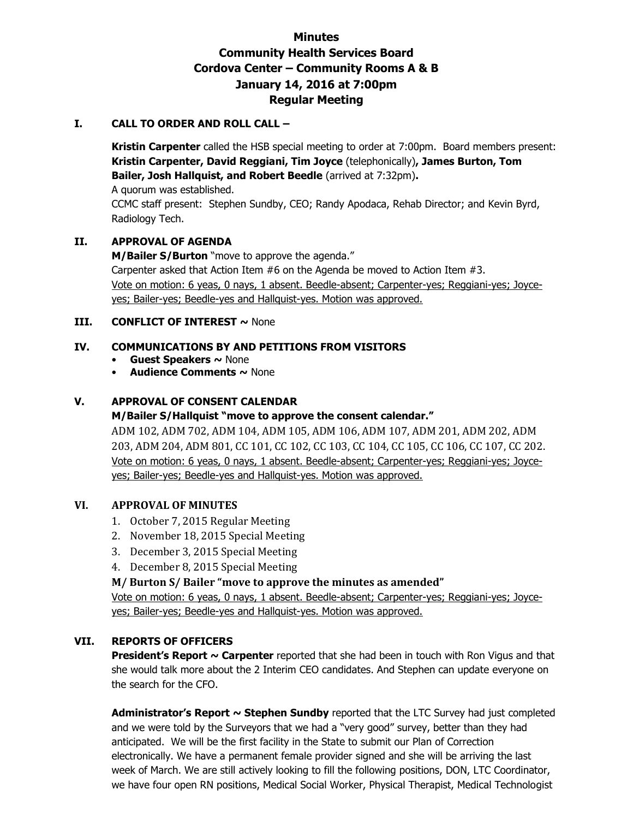# **Minutes Community Health Services Board Cordova Center – Community Rooms A & B January 14, 2016 at 7:00pm Regular Meeting**

## **I. CALL TO ORDER AND ROLL CALL –**

**Kristin Carpenter** called the HSB special meeting to order at 7:00pm. Board members present: **Kristin Carpenter, David Reggiani, Tim Joyce** (telephonically)**, James Burton, Tom Bailer, Josh Hallquist, and Robert Beedle** (arrived at 7:32pm)**.** 

A quorum was established.

CCMC staff present: Stephen Sundby, CEO; Randy Apodaca, Rehab Director; and Kevin Byrd, Radiology Tech.

# **II. APPROVAL OF AGENDA**

**M/Bailer S/Burton** "move to approve the agenda." Carpenter asked that Action Item #6 on the Agenda be moved to Action Item #3. Vote on motion: 6 yeas, 0 nays, 1 absent. Beedle-absent; Carpenter-yes; Reggiani-yes; Joyceyes; Bailer-yes; Beedle-yes and Hallquist-yes. Motion was approved.

## **III. CONFLICT OF INTEREST ~ None**

# **IV. COMMUNICATIONS BY AND PETITIONS FROM VISITORS**

- **Guest Speakers ~** None
- **Audience Comments ~** None

# **V. APPROVAL OF CONSENT CALENDAR**

#### **M/Bailer S/Hallquist "move to approve the consent calendar."**

ADM 102, ADM 702, ADM 104, ADM 105, ADM 106, ADM 107, ADM 201, ADM 202, ADM 203, ADM 204, ADM 801, CC 101, CC 102, CC 103, CC 104, CC 105, CC 106, CC 107, CC 202. Vote on motion: 6 yeas, 0 nays, 1 absent. Beedle-absent; Carpenter-yes; Reggiani-yes; Joyceyes; Bailer-yes; Beedle-yes and Hallquist-yes. Motion was approved.

#### **VI. APPROVAL OF MINUTES**

- 1. October 7, 2015 Regular Meeting
- 2. November 18, 2015 Special Meeting
- 3. December 3, 2015 Special Meeting
- 4. December 8, 2015 Special Meeting

# **M/ Burton S/ Bailer "move to approve the minutes as amended"**

Vote on motion: 6 yeas, 0 nays, 1 absent. Beedle-absent; Carpenter-yes; Reggiani-yes; Joyceyes; Bailer-yes; Beedle-yes and Hallquist-yes. Motion was approved.

#### **VII. REPORTS OF OFFICERS**

**President's Report ~ Carpenter** reported that she had been in touch with Ron Vigus and that she would talk more about the 2 Interim CEO candidates. And Stephen can update everyone on the search for the CFO.

**Administrator's Report ~ Stephen Sundby** reported that the LTC Survey had just completed and we were told by the Surveyors that we had a "very good" survey, better than they had anticipated. We will be the first facility in the State to submit our Plan of Correction electronically. We have a permanent female provider signed and she will be arriving the last week of March. We are still actively looking to fill the following positions, DON, LTC Coordinator, we have four open RN positions, Medical Social Worker, Physical Therapist, Medical Technologist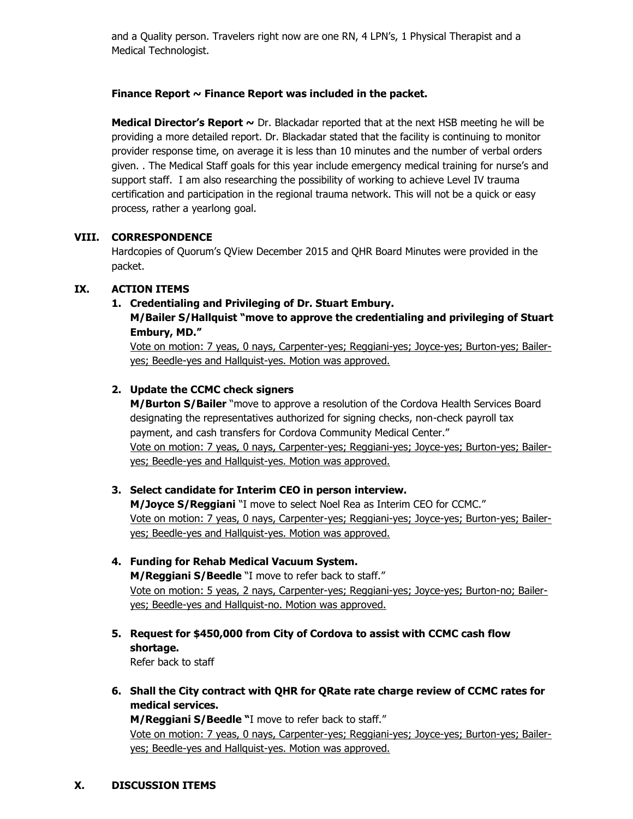and a Quality person. Travelers right now are one RN, 4 LPN's, 1 Physical Therapist and a Medical Technologist.

## **Finance Report ~ Finance Report was included in the packet.**

**Medical Director's Report ~** Dr. Blackadar reported that at the next HSB meeting he will be providing a more detailed report. Dr. Blackadar stated that the facility is continuing to monitor provider response time, on average it is less than 10 minutes and the number of verbal orders given. . The Medical Staff goals for this year include emergency medical training for nurse's and support staff. I am also researching the possibility of working to achieve Level IV trauma certification and participation in the regional trauma network. This will not be a quick or easy process, rather a yearlong goal.

## **VIII. CORRESPONDENCE**

Hardcopies of Quorum's QView December 2015 and QHR Board Minutes were provided in the packet.

## **IX. ACTION ITEMS**

#### **1. Credentialing and Privileging of Dr. Stuart Embury.**

**M/Bailer S/Hallquist "move to approve the credentialing and privileging of Stuart Embury, MD."**

Vote on motion: 7 yeas, 0 nays, Carpenter-yes; Reggiani-yes; Joyce-yes; Burton-yes; Baileryes; Beedle-yes and Hallquist-yes. Motion was approved.

# **2. Update the CCMC check signers**

**M/Burton S/Bailer** "move to approve a resolution of the Cordova Health Services Board designating the representatives authorized for signing checks, non-check payroll tax payment, and cash transfers for Cordova Community Medical Center." Vote on motion: 7 yeas, 0 nays, Carpenter-yes; Reggiani-yes; Joyce-yes; Burton-yes; Baileryes; Beedle-yes and Hallquist-yes. Motion was approved.

# **3. Select candidate for Interim CEO in person interview.**

**M/Joyce S/Reggiani** "I move to select Noel Rea as Interim CEO for CCMC." Vote on motion: 7 yeas, 0 nays, Carpenter-yes; Reggiani-yes; Joyce-yes; Burton-yes; Baileryes; Beedle-yes and Hallquist-yes. Motion was approved.

# **4. Funding for Rehab Medical Vacuum System. M/Reggiani S/Beedle** "I move to refer back to staff."

Vote on motion: 5 yeas, 2 nays, Carpenter-yes; Reggiani-yes; Joyce-yes; Burton-no; Baileryes; Beedle-yes and Hallquist-no. Motion was approved.

**5. Request for \$450,000 from City of Cordova to assist with CCMC cash flow shortage.** 

Refer back to staff

**6. Shall the City contract with QHR for QRate rate charge review of CCMC rates for medical services.** 

**M/Reggiani S/Beedle "**I move to refer back to staff." Vote on motion: 7 yeas, 0 nays, Carpenter-yes; Reggiani-yes; Joyce-yes; Burton-yes; Baileryes; Beedle-yes and Hallquist-yes. Motion was approved.

**X. DISCUSSION ITEMS**